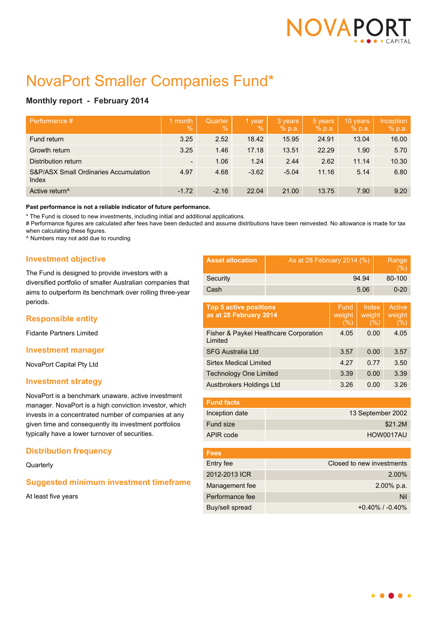

# NovaPort Smaller Companies Fund\*

# **Monthly report - February 2014**

| ⊦Performance #                                            | 1 month<br>$\sqrt{2}$    | Quarter<br>$\%$ | 1 year<br>$\sqrt{2}$ | 3 years<br>% p.a. | 5 years<br>% p.a. | 10 years<br>% p.a. | Inception<br>% p.a. |
|-----------------------------------------------------------|--------------------------|-----------------|----------------------|-------------------|-------------------|--------------------|---------------------|
| Fund return                                               | 3.25                     | 2.52            | 18.42                | 15.95             | 24.91             | 13.04              | 16.00               |
| Growth return                                             | 3.25                     | 1.46            | 17.18                | 13.51             | 22.29             | 1.90               | 5.70                |
| Distribution return                                       | $\overline{\phantom{a}}$ | 1.06            | 1.24                 | 2.44              | 2.62              | 11.14              | 10.30               |
| <b>S&amp;P/ASX Small Ordinaries Accumulation</b><br>Index | 4.97                     | 4.68            | $-3.62$              | $-5.04$           | 11.16             | 5.14               | 6.80                |
| Active return <sup>^</sup>                                | $-1.72$                  | $-2.16$         | 22.04                | 21.00             | 13.75             | 7.90               | 9.20                |

#### **Past performance is not a reliable indicator of future performance.**

\* The Fund is closed to new investments, including initial and additional applications.

# Performance figures are calculated after fees have been deducted and assume distributions have been reinvested. No allowance is made for tax when calculating these figures.

^ Numbers may not add due to rounding

## **Investment objective**

The Fund is designed to provide investors with a diversified portfolio of smaller Australian companies that aims to outperform its benchmark over rolling three-year periods.

### **Responsible entity**

Fidante Partners Limited

### **Investment manager**

NovaPort Capital Pty Ltd

## **Investment strategy**

NovaPort is a benchmark unaware, active investment manager. NovaPort is a high conviction investor, which invests in a concentrated number of companies at any given time and consequently its investment portfolios typically have a lower turnover of securities.

### **Distribution frequency**

**Quarterly** 

## **Suggested minimum investment timeframe**

At least five years

| <b>Asset allocation</b> | As at 28 February 2014 (%) | Range<br>$( \% )$ |
|-------------------------|----------------------------|-------------------|
| Security                | 94.94                      | 80-100            |
| Cash                    | 5.06                       | $0 - 20$          |

| <b>Top 5 active positions</b><br>as at 28 February 2014 | Fund<br>weight<br>(% ) | Index<br>weight<br>(%) | Active<br>weight<br>(%) |
|---------------------------------------------------------|------------------------|------------------------|-------------------------|
| Fisher & Paykel Healthcare Corporation<br>Limited       | 4.05                   | 0.00                   | 4.05                    |
| <b>SFG Australia Ltd</b>                                | 3.57                   | 0.00                   | 3.57                    |
| <b>Sirtex Medical Limited</b>                           | 4.27                   | 0.77                   | 3.50                    |
| <b>Technology One Limited</b>                           | 3.39                   | 0.00                   | 3.39                    |
| Austbrokers Holdings Ltd                                | 3.26                   | 0.00                   | 3.26                    |

| <b>Fund facts</b> |                   |
|-------------------|-------------------|
| Inception date    | 13 September 2002 |
| Fund size         | \$21.2M           |
| APIR code         | HOW0017AU         |
|                   |                   |

| <b>Fees</b>     |                           |
|-----------------|---------------------------|
| Entry fee       | Closed to new investments |
| 2012-2013 ICR   | 2.00%                     |
| Management fee  | $2.00\%$ p.a.             |
| Performance fee | Nil                       |
| Buy/sell spread | $+0.40\%$ / $-0.40\%$     |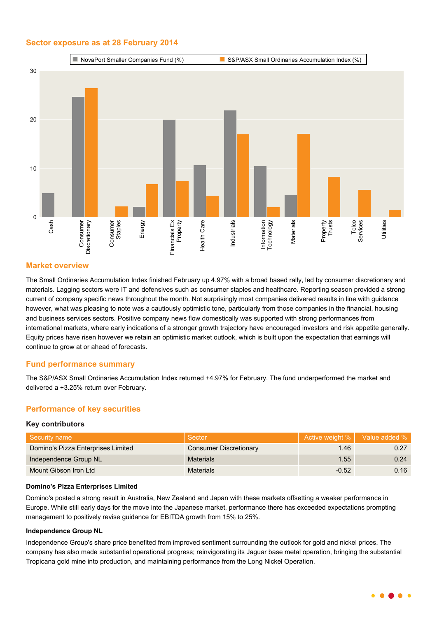## **Sector exposure as at 28 February 2014**



## **Market overview**

The Small Ordinaries Accumulation Index finished February up 4.97% with a broad based rally, led by consumer discretionary and materials. Lagging sectors were IT and defensives such as consumer staples and healthcare. Reporting season provided a strong current of company specific news throughout the month. Not surprisingly most companies delivered results in line with guidance however, what was pleasing to note was a cautiously optimistic tone, particularly from those companies in the financial, housing and business services sectors. Positive company news flow domestically was supported with strong performances from international markets, where early indications of a stronger growth trajectory have encouraged investors and risk appetite generally. Equity prices have risen however we retain an optimistic market outlook, which is built upon the expectation that earnings will continue to grow at or ahead of forecasts.

## **Fund performance summary**

The S&P/ASX Small Ordinaries Accumulation Index returned +4.97% for February. The fund underperformed the market and delivered a +3.25% return over February.

## **Performance of key securities**

#### **Key contributors**

| Security name                      | Sector                        |         | Active weight %   Value added % |
|------------------------------------|-------------------------------|---------|---------------------------------|
| Domino's Pizza Enterprises Limited | <b>Consumer Discretionary</b> | 1.46    | 0.27                            |
| Independence Group NL              | Materials                     | 1.55    | 0.24                            |
| Mount Gibson Iron Ltd              | <b>Materials</b>              | $-0.52$ | 0.16                            |

#### **Domino's Pizza Enterprises Limited**

Domino's posted a strong result in Australia, New Zealand and Japan with these markets offsetting a weaker performance in Europe. While still early days for the move into the Japanese market, performance there has exceeded expectations prompting management to positively revise guidance for EBITDA growth from 15% to 25%.

#### **Independence Group NL**

Independence Group's share price benefited from improved sentiment surrounding the outlook for gold and nickel prices. The company has also made substantial operational progress; reinvigorating its Jaguar base metal operation, bringing the substantial Tropicana gold mine into production, and maintaining performance from the Long Nickel Operation.